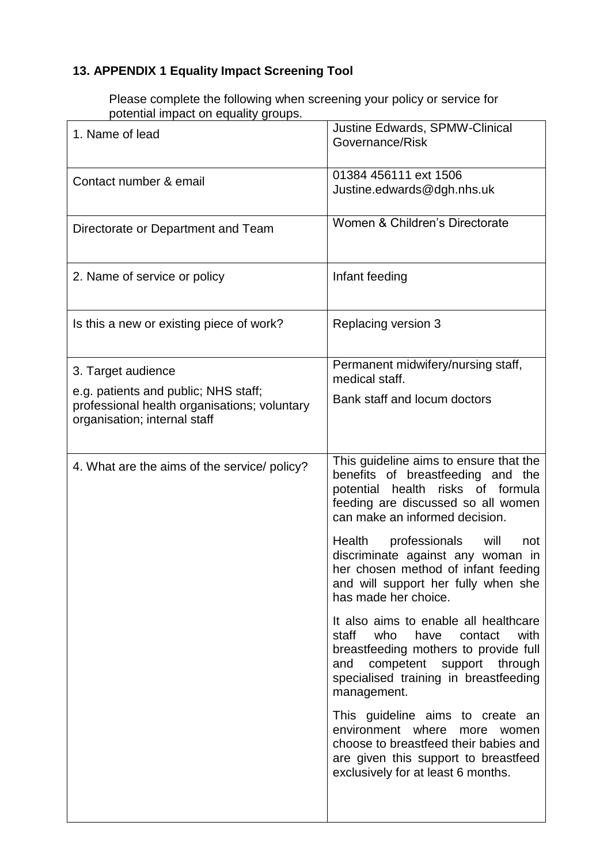## **13. APPENDIX 1 Equality Impact Screening Tool**

Please complete the following when screening your policy or service for potential impact on equality groups.

| 1. Name of lead                                                                                                                            | Justine Edwards, SPMW-Clinical<br>Governance/Risk                                                                                                                                                                     |
|--------------------------------------------------------------------------------------------------------------------------------------------|-----------------------------------------------------------------------------------------------------------------------------------------------------------------------------------------------------------------------|
| Contact number & email                                                                                                                     | 01384 456111 ext 1506<br>Justine.edwards@dgh.nhs.uk                                                                                                                                                                   |
| Directorate or Department and Team                                                                                                         | Women & Children's Directorate                                                                                                                                                                                        |
| 2. Name of service or policy                                                                                                               | Infant feeding                                                                                                                                                                                                        |
| Is this a new or existing piece of work?                                                                                                   | Replacing version 3                                                                                                                                                                                                   |
| 3. Target audience<br>e.g. patients and public; NHS staff;<br>professional health organisations; voluntary<br>organisation; internal staff | Permanent midwifery/nursing staff,<br>medical staff.                                                                                                                                                                  |
|                                                                                                                                            | Bank staff and locum doctors                                                                                                                                                                                          |
| 4. What are the aims of the service/ policy?                                                                                               | This guideline aims to ensure that the<br>benefits of breastfeeding and the<br>health<br>risks of formula<br>potential<br>feeding are discussed so all women<br>can make an informed decision.                        |
|                                                                                                                                            | Health professionals will<br>not<br>discriminate against any woman in<br>her chosen method of infant feeding<br>and will support her fully when she<br>has made her choice.                                           |
|                                                                                                                                            | It also aims to enable all healthcare<br>staff<br>who<br>with<br>have<br>contact<br>breastfeeding mothers to provide full<br>competent support through<br>and<br>specialised training in breastfeeding<br>management. |
|                                                                                                                                            | This guideline aims to create an<br>environment where<br>more<br>women<br>choose to breastfeed their babies and<br>are given this support to breastfeed<br>exclusively for at least 6 months.                         |